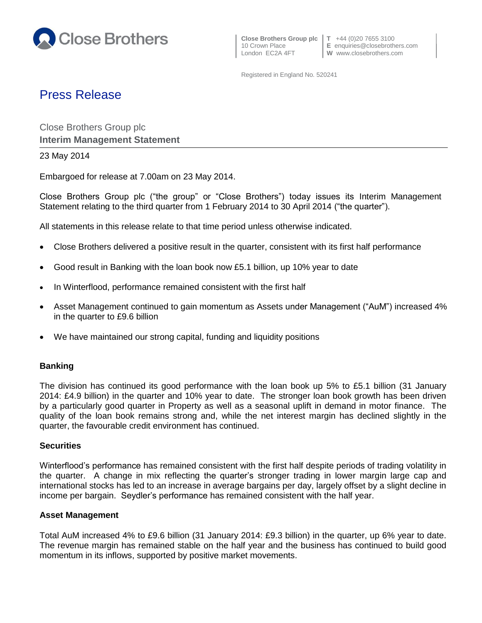

10 Crown Place **E** enquiries@closebrothers.com

Registered in England No. 520241

# Press Release

Close Brothers Group plc **Interim Management Statement**

## 23 May 2014

Embargoed for release at 7.00am on 23 May 2014.

Close Brothers Group plc ("the group" or "Close Brothers") today issues its Interim Management Statement relating to the third quarter from 1 February 2014 to 30 April 2014 ("the quarter").

All statements in this release relate to that time period unless otherwise indicated.

- Close Brothers delivered a positive result in the quarter, consistent with its first half performance
- Good result in Banking with the loan book now £5.1 billion, up 10% year to date
- In Winterflood, performance remained consistent with the first half
- Asset Management continued to gain momentum as Assets under Management ("AuM") increased 4% in the quarter to £9.6 billion
- We have maintained our strong capital, funding and liquidity positions

# **Banking**

The division has continued its good performance with the loan book up 5% to £5.1 billion (31 January 2014: £4.9 billion) in the quarter and 10% year to date. The stronger loan book growth has been driven by a particularly good quarter in Property as well as a seasonal uplift in demand in motor finance. The quality of the loan book remains strong and, while the net interest margin has declined slightly in the quarter, the favourable credit environment has continued.

### **Securities**

Winterflood's performance has remained consistent with the first half despite periods of trading volatility in the quarter. A change in mix reflecting the quarter's stronger trading in lower margin large cap and international stocks has led to an increase in average bargains per day, largely offset by a slight decline in income per bargain. Seydler's performance has remained consistent with the half year.

### **Asset Management**

Total AuM increased 4% to £9.6 billion (31 January 2014: £9.3 billion) in the quarter, up 6% year to date. The revenue margin has remained stable on the half year and the business has continued to build good momentum in its inflows, supported by positive market movements.